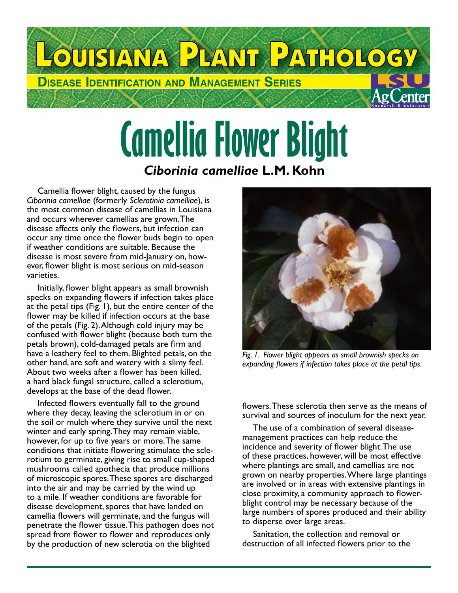

## **Camellia Flower Blight** *Ciborinia camelliae* **L.M. Kohn**

Camellia flower blight, caused by the fungus *Ciborinia camelliae* (formerly *Sclerotinia camelliae*), is the most common disease of camellias in Louisiana and occurs wherever camellias are grown. The disease affects only the flowers, but infection can occur any time once the flower buds begin to open if weather conditions are suitable. Because the disease is most severe from mid-January on, however, flower blight is most serious on mid-season varieties.

Initially, flower blight appears as small brownish specks on expanding flowers if infection takes place at the petal tips (Fig. 1), but the entire center of the flower may be killed if infection occurs at the base of the petals (Fig. 2). Although cold injury may be confused with flower blight (because both turn the petals brown), cold-damaged petals are firm and have a leathery feel to them. Blighted petals, on the other hand, are soft and watery with a slimy feel. About two weeks after a flower has been killed, a hard black fungal structure, called a sclerotium, develops at the base of the dead flower.

Infected flowers eventually fall to the ground where they decay, leaving the sclerotium in or on the soil or mulch where they survive until the next winter and early spring. They may remain viable, however, for up to five years or more. The same conditions that initiate flowering stimulate the sclerotium to germinate, giving rise to small cup-shaped mushrooms called apothecia that produce millions of microscopic spores. These spores are discharged into the air and may be carried by the wind up to a mile. If weather conditions are favorable for disease development, spores that have landed on camellia flowers will germinate, and the fungus will penetrate the flower tissue. This pathogen does not spread from flower to flower and reproduces only by the production of new sclerotia on the blighted



*Fig. 1. Flower blight appears as small brownish specks on expanding flowers if infection takes place at the petal tips.*

flowers. These sclerotia then serve as the means of survival and sources of inoculum for the next year.

The use of a combination of several diseasemanagement practices can help reduce the incidence and severity of flower blight. The use of these practices, however, will be most effective where plantings are small, and camellias are not grown on nearby properties. Where large plantings are involved or in areas with extensive plantings in close proximity, a community approach to flowerblight control may be necessary because of the large numbers of spores produced and their ability to disperse over large areas.

Sanitation, the collection and removal or destruction of all infected flowers prior to the